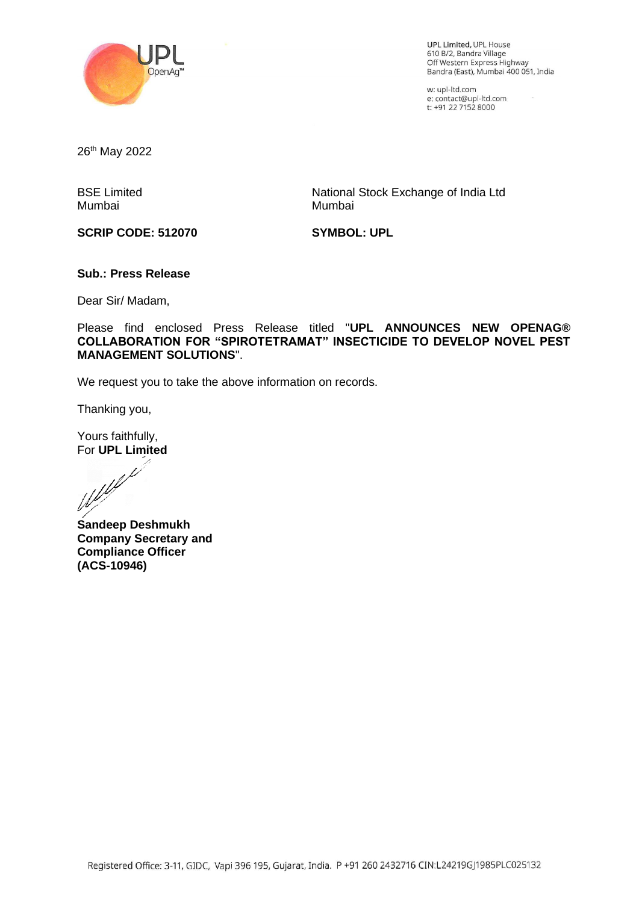

UPL Limited, UPL House 610 B/2, Bandra Village ofo Brz, Bahura village<br>Off Western Express Highway<br>Bandra (East), Mumbai 400 051, India

w: upl-ltd.com w: upi-itd.com<br>e: contact@upl-ltd.com<br>t: +91 22 7152 8000

26<sup>th</sup> May 2022

BSE Limited Mumbai

National Stock Exchange of India Ltd Mumbai

**SCRIP CODE: 512070**

**SYMBOL: UPL**

#### **Sub.: Press Release**

Dear Sir/ Madam,

Please find enclosed Press Release titled "**UPL ANNOUNCES NEW OPENAG® COLLABORATION FOR "SPIROTETRAMAT" INSECTICIDE TO DEVELOP NOVEL PEST MANAGEMENT SOLUTIONS**".

We request you to take the above information on records.

Thanking you,

Yours faithfully,

For **UPL Limited**<br>Weblink

**Sandeep Deshmukh Company Secretary and Compliance Officer (ACS-10946)**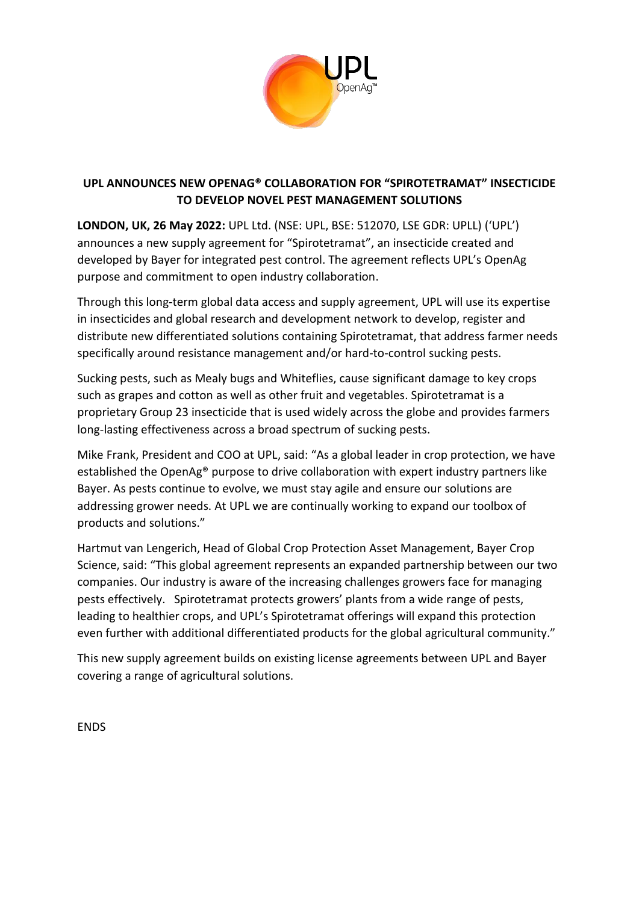

# **UPL ANNOUNCES NEW OPENAG® COLLABORATION FOR "SPIROTETRAMAT" INSECTICIDE TO DEVELOP NOVEL PEST MANAGEMENT SOLUTIONS**

**LONDON, UK, 26 May 2022:** UPL Ltd. (NSE: UPL, BSE: 512070, LSE GDR: UPLL) ('UPL') announces a new supply agreement for "Spirotetramat", an insecticide created and developed by Bayer for integrated pest control. The agreement reflects UPL's OpenAg purpose and commitment to open industry collaboration.

Through this long-term global data access and supply agreement, UPL will use its expertise in insecticides and global research and development network to develop, register and distribute new differentiated solutions containing Spirotetramat, that address farmer needs specifically around resistance management and/or hard-to-control sucking pests.

Sucking pests, such as Mealy bugs and Whiteflies, cause significant damage to key crops such as grapes and cotton as well as other fruit and vegetables. Spirotetramat is a proprietary Group 23 insecticide that is used widely across the globe and provides farmers long-lasting effectiveness across a broad spectrum of sucking pests.

Mike Frank, President and COO at UPL, said: "As a global leader in crop protection, we have established the OpenAg® purpose to drive collaboration with expert industry partners like Bayer. As pests continue to evolve, we must stay agile and ensure our solutions are addressing grower needs. At UPL we are continually working to expand our toolbox of products and solutions."

Hartmut van Lengerich, Head of Global Crop Protection Asset Management, Bayer Crop Science, said: "This global agreement represents an expanded partnership between our two companies. Our industry is aware of the increasing challenges growers face for managing pests effectively. Spirotetramat protects growers' plants from a wide range of pests, leading to healthier crops, and UPL's Spirotetramat offerings will expand this protection even further with additional differentiated products for the global agricultural community."

This new supply agreement builds on existing license agreements between UPL and Bayer covering a range of agricultural solutions.

ENDS